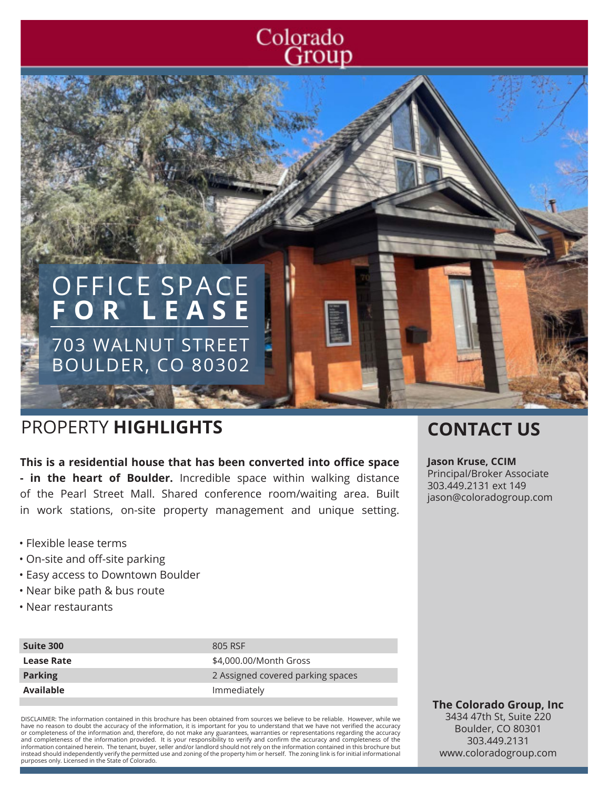# Colorado<br>Group

# OFFICE SPACE **FOR LEASE** 703 WALNUT STREET BOULDER, CO 80302

## PROPERTY **HIGHLIGHTS CONTACT US**

**This is a residential house that has been converted into office space - in the heart of Boulder.** Incredible space within walking distance of the Pearl Street Mall. Shared conference room/waiting area. Built in work stations, on-site property management and unique setting.

- Flexible lease terms
- On-site and off-site parking
- Easy access to Downtown Boulder
- Near bike path & bus route
- Near restaurants

| Suite 300         | 805 RSF                           |
|-------------------|-----------------------------------|
| <b>Lease Rate</b> | \$4,000.00/Month Gross            |
| <b>Parking</b>    | 2 Assigned covered parking spaces |
| Available         | Immediately                       |

DISCLAIMER: The information contained in this brochure has been obtained from sources we believe to be reliable. However, while we have no reason to doubt the accuracy of the information, it is important for you to understand that we have not verified the accuracy or completeness of the information and, therefore, do not make any guarantees, warranties or representations regarding the accuracy<br>and completeness of the information provided. It is your responsibility to verify and con instead should independently verify the permitted use and zoning of the property him or herself. The zoning link is for initial informational purposes only. Licensed in the State of Colorado.

**Jason Kruse, CCIM** Principal/Broker Associate 303.449.2131 ext 149 jason@coloradogroup.com

**The Colorado Group, Inc** 3434 47th St, Suite 220 Boulder, CO 80301 303.449.2131 www.coloradogroup.com